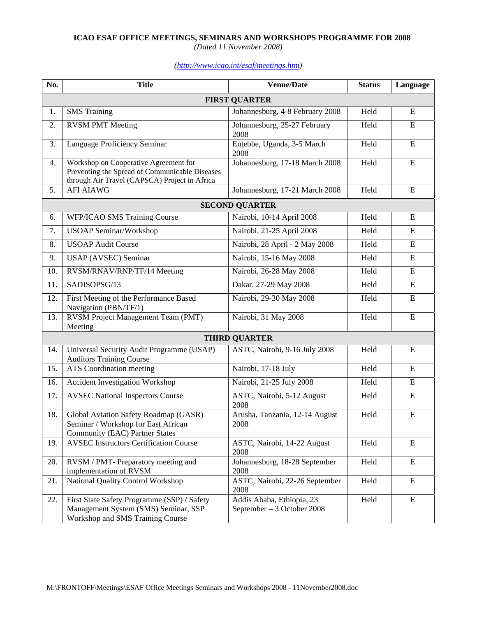## **ICAO ESAF OFFICE MEETINGS, SEMINARS AND WORKSHOPS PROGRAMME FOR 2008**

*(Dated 11 November 2008)* 

## *(http://www.icao.int/esaf/meetings.htm)*

| No.                   | <b>Title</b>                                                                                                                             | <b>Venue/Date</b>                                       | <b>Status</b> | Language  |  |  |  |
|-----------------------|------------------------------------------------------------------------------------------------------------------------------------------|---------------------------------------------------------|---------------|-----------|--|--|--|
| <b>FIRST QUARTER</b>  |                                                                                                                                          |                                                         |               |           |  |  |  |
| 1.                    | <b>SMS</b> Training                                                                                                                      | Johannesburg, 4-8 February 2008                         | Held          | E         |  |  |  |
| 2.                    | <b>RVSM PMT Meeting</b>                                                                                                                  | Johannesburg, 25-27 February<br>2008                    | Held          | E         |  |  |  |
| 3.                    | Language Proficiency Seminar                                                                                                             | Entebbe, Uganda, 3-5 March<br>2008                      | Held          | E         |  |  |  |
| 4.                    | Workshop on Cooperative Agreement for<br>Preventing the Spread of Communicable Diseases<br>through Air Travel (CAPSCA) Project in Africa | Johannesburg, 17-18 March 2008                          | Held          | E         |  |  |  |
| 5.                    | <b>AFI AIAWG</b>                                                                                                                         | Johannesburg, 17-21 March 2008                          | Held          | E         |  |  |  |
| <b>SECOND QUARTER</b> |                                                                                                                                          |                                                         |               |           |  |  |  |
| 6.                    | WFP/ICAO SMS Training Course                                                                                                             | Nairobi, 10-14 April 2008                               | Held          | E         |  |  |  |
| 7.                    | <b>USOAP Seminar/Workshop</b>                                                                                                            | Nairobi, 21-25 April 2008                               | Held          | E         |  |  |  |
| 8.                    | <b>USOAP Audit Course</b>                                                                                                                | Nairobi, 28 April - 2 May 2008                          | Held          | E         |  |  |  |
| 9.                    | <b>USAP</b> (AVSEC) Seminar                                                                                                              | Nairobi, 15-16 May 2008                                 | Held          | E         |  |  |  |
| 10.                   | RVSM/RNAV/RNP/TF/14 Meeting                                                                                                              | Nairobi, 26-28 May 2008                                 | Held          | ${\bf E}$ |  |  |  |
| 11.                   | SADISOPSG/13                                                                                                                             | Dakar, 27-29 May 2008                                   | Held          | E         |  |  |  |
| 12.                   | First Meeting of the Performance Based<br>Navigation (PBN/TF/1)                                                                          | Nairobi, 29-30 May 2008                                 | Held          | ${\bf E}$ |  |  |  |
| 13.                   | RVSM Project Management Team (PMT)<br>Meeting                                                                                            | Nairobi, 31 May 2008                                    | Held          | E         |  |  |  |
| <b>THIRD QUARTER</b>  |                                                                                                                                          |                                                         |               |           |  |  |  |
| 14.                   | Universal Security Audit Programme (USAP)<br><b>Auditors Training Course</b>                                                             | ASTC, Nairobi, 9-16 July 2008                           | Held          | ${\bf E}$ |  |  |  |
| 15.                   | <b>ATS</b> Coordination meeting                                                                                                          | Nairobi, 17-18 July                                     | Held          | E         |  |  |  |
| 16.                   | <b>Accident Investigation Workshop</b>                                                                                                   | Nairobi, 21-25 July 2008                                | Held          | E         |  |  |  |
| 17.                   | <b>AVSEC National Inspectors Course</b>                                                                                                  | ASTC, Nairobi, 5-12 August<br>2008                      | Held          | ${\bf E}$ |  |  |  |
| 18.                   | Global Aviation Safety Roadmap (GASR)<br>Seminar / Workshop for East African<br><b>Community (EAC) Partner States</b>                    | Arusha, Tanzania, 12-14 August<br>2008                  | Held          | E         |  |  |  |
| 19.                   | <b>AVSEC Instructors Certification Course</b>                                                                                            | ASTC, Nairobi, 14-22 August<br>2008                     | Held          | E         |  |  |  |
| 20.                   | RVSM / PMT- Preparatory meeting and<br>implementation of RVSM                                                                            | Johannesburg, 18-28 September<br>2008                   | Held          | ${\bf E}$ |  |  |  |
| 21.                   | National Quality Control Workshop                                                                                                        | ASTC, Nairobi, 22-26 September<br>2008                  | Held          | ${\bf E}$ |  |  |  |
| 22.                   | First State Safety Programme (SSP) / Safety<br>Management System (SMS) Seminar, SSP<br>Workshop and SMS Training Course                  | Addis Ababa, Ethiopia, 23<br>September - 3 October 2008 | Held          | ${\bf E}$ |  |  |  |